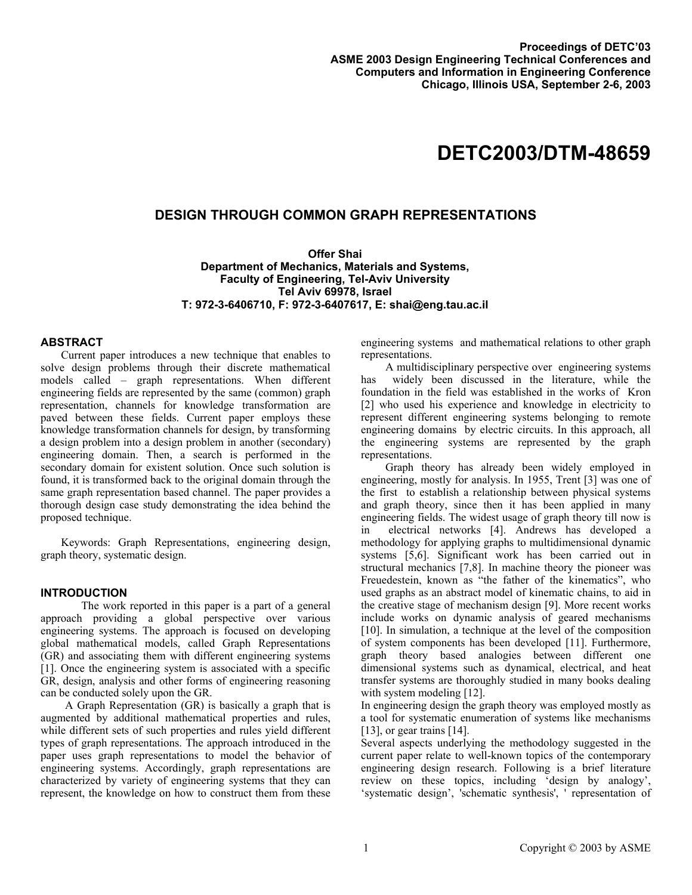# **DETC2003/DTM-48659**

## **DESIGN THROUGH COMMON GRAPH REPRESENTATIONS**

**Offer Shai Department of Mechanics, Materials and Systems, Faculty of Engineering, Tel-Aviv University Tel Aviv 69978, Israel T: 972-3-6406710, F: 972-3-6407617, E: shai@eng.tau.ac.il** 

## **ABSTRACT**

Current paper introduces a new technique that enables to solve design problems through their discrete mathematical models called – graph representations. When different engineering fields are represented by the same (common) graph representation, channels for knowledge transformation are paved between these fields. Current paper employs these knowledge transformation channels for design, by transforming a design problem into a design problem in another (secondary) engineering domain. Then, a search is performed in the secondary domain for existent solution. Once such solution is found, it is transformed back to the original domain through the same graph representation based channel. The paper provides a thorough design case study demonstrating the idea behind the proposed technique.

Keywords: Graph Representations, engineering design, graph theory, systematic design.

## **INTRODUCTION**

The work reported in this paper is a part of a general approach providing a global perspective over various engineering systems. The approach is focused on developing global mathematical models, called Graph Representations (GR) and associating them with different engineering systems [1]. Once the engineering system is associated with a specific GR, design, analysis and other forms of engineering reasoning can be conducted solely upon the GR.

A Graph Representation (GR) is basically a graph that is augmented by additional mathematical properties and rules, while different sets of such properties and rules yield different types of graph representations. The approach introduced in the paper uses graph representations to model the behavior of engineering systems. Accordingly, graph representations are characterized by variety of engineering systems that they can represent, the knowledge on how to construct them from these

engineering systems and mathematical relations to other graph representations.

A multidisciplinary perspective over engineering systems has widely been discussed in the literature, while the foundation in the field was established in the works of Kron [2] who used his experience and knowledge in electricity to represent different engineering systems belonging to remote engineering domains by electric circuits. In this approach, all the engineering systems are represented by the graph representations.

Graph theory has already been widely employed in engineering, mostly for analysis. In 1955, Trent [3] was one of the first to establish a relationship between physical systems and graph theory, since then it has been applied in many engineering fields. The widest usage of graph theory till now is in electrical networks [4]. Andrews has developed a methodology for applying graphs to multidimensional dynamic systems [5,6]. Significant work has been carried out in structural mechanics [7,8]. In machine theory the pioneer was Freuedestein, known as "the father of the kinematics", who used graphs as an abstract model of kinematic chains, to aid in the creative stage of mechanism design [9]. More recent works include works on dynamic analysis of geared mechanisms [10]. In simulation, a technique at the level of the composition of system components has been developed [11]. Furthermore, graph theory based analogies between different one dimensional systems such as dynamical, electrical, and heat transfer systems are thoroughly studied in many books dealing with system modeling [12].

In engineering design the graph theory was employed mostly as a tool for systematic enumeration of systems like mechanisms [13], or gear trains [14].

Several aspects underlying the methodology suggested in the current paper relate to well-known topics of the contemporary engineering design research. Following is a brief literature review on these topics, including 'design by analogy', 'systematic design', 'schematic synthesis', ' representation of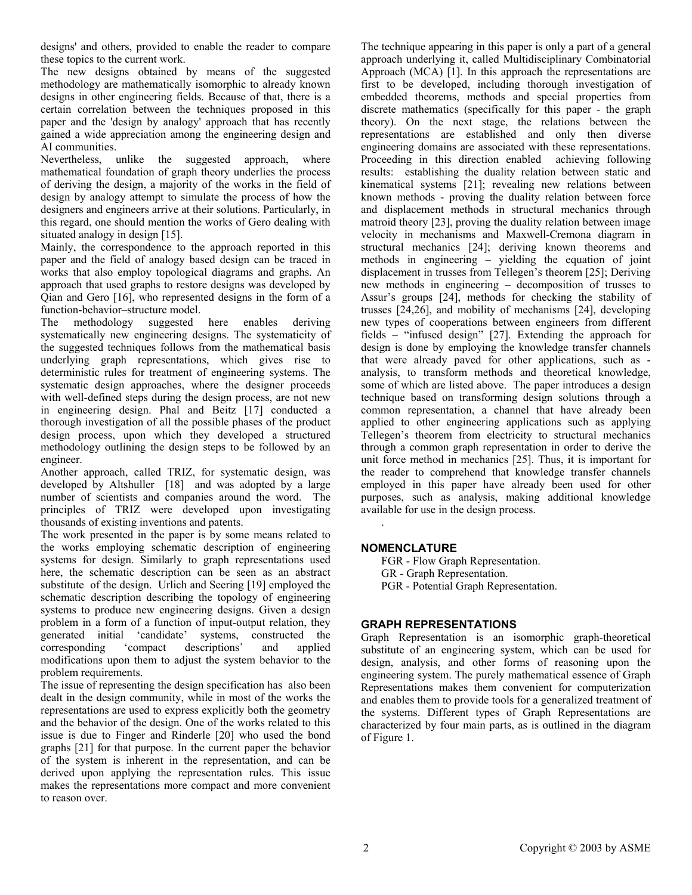designs' and others, provided to enable the reader to compare these topics to the current work.

The new designs obtained by means of the suggested methodology are mathematically isomorphic to already known designs in other engineering fields. Because of that, there is a certain correlation between the techniques proposed in this paper and the 'design by analogy' approach that has recently gained a wide appreciation among the engineering design and AI communities.

Nevertheless, unlike the suggested approach, where mathematical foundation of graph theory underlies the process of deriving the design, a majority of the works in the field of design by analogy attempt to simulate the process of how the designers and engineers arrive at their solutions. Particularly, in this regard, one should mention the works of Gero dealing with situated analogy in design [15].

Mainly, the correspondence to the approach reported in this paper and the field of analogy based design can be traced in works that also employ topological diagrams and graphs. An approach that used graphs to restore designs was developed by Qian and Gero [16], who represented designs in the form of a function-behavior–structure model.

The methodology suggested here enables deriving systematically new engineering designs. The systematicity of the suggested techniques follows from the mathematical basis underlying graph representations, which gives rise to deterministic rules for treatment of engineering systems. The systematic design approaches, where the designer proceeds with well-defined steps during the design process, are not new in engineering design. Phal and Beitz [17] conducted a thorough investigation of all the possible phases of the product design process, upon which they developed a structured methodology outlining the design steps to be followed by an engineer.

Another approach, called TRIZ, for systematic design, was developed by Altshuller [18] and was adopted by a large number of scientists and companies around the word. The principles of TRIZ were developed upon investigating thousands of existing inventions and patents.

The work presented in the paper is by some means related to the works employing schematic description of engineering systems for design. Similarly to graph representations used here, the schematic description can be seen as an abstract substitute of the design. Urlich and Seering [19] employed the schematic description describing the topology of engineering systems to produce new engineering designs. Given a design problem in a form of a function of input-output relation, they generated initial 'candidate' systems, constructed the corresponding 'compact descriptions' and applied modifications upon them to adjust the system behavior to the problem requirements.

The issue of representing the design specification has also been dealt in the design community, while in most of the works the representations are used to express explicitly both the geometry and the behavior of the design. One of the works related to this issue is due to Finger and Rinderle [20] who used the bond graphs [21] for that purpose. In the current paper the behavior of the system is inherent in the representation, and can be derived upon applying the representation rules. This issue makes the representations more compact and more convenient to reason over.

The technique appearing in this paper is only a part of a general approach underlying it, called Multidisciplinary Combinatorial Approach (MCA) [1]. In this approach the representations are first to be developed, including thorough investigation of embedded theorems, methods and special properties from discrete mathematics (specifically for this paper - the graph theory). On the next stage, the relations between the representations are established and only then diverse engineering domains are associated with these representations. Proceeding in this direction enabled achieving following results: establishing the duality relation between static and kinematical systems [21]; revealing new relations between known methods - proving the duality relation between force and displacement methods in structural mechanics through matroid theory [23], proving the duality relation between image velocity in mechanisms and Maxwell-Cremona diagram in structural mechanics [24]; deriving known theorems and methods in engineering – yielding the equation of joint displacement in trusses from Tellegen's theorem [25]; Deriving new methods in engineering – decomposition of trusses to Assur's groups [24], methods for checking the stability of trusses [24,26], and mobility of mechanisms [24], developing new types of cooperations between engineers from different fields – "infused design" [27]. Extending the approach for design is done by employing the knowledge transfer channels that were already paved for other applications, such as analysis, to transform methods and theoretical knowledge, some of which are listed above. The paper introduces a design technique based on transforming design solutions through a common representation, a channel that have already been applied to other engineering applications such as applying Tellegen's theorem from electricity to structural mechanics through a common graph representation in order to derive the unit force method in mechanics [25]. Thus, it is important for the reader to comprehend that knowledge transfer channels employed in this paper have already been used for other purposes, such as analysis, making additional knowledge available for use in the design process.

## **NOMENCLATURE**

.

FGR - Flow Graph Representation. GR - Graph Representation. PGR - Potential Graph Representation.

## **GRAPH REPRESENTATIONS**

Graph Representation is an isomorphic graph-theoretical substitute of an engineering system, which can be used for design, analysis, and other forms of reasoning upon the engineering system. The purely mathematical essence of Graph Representations makes them convenient for computerization and enables them to provide tools for a generalized treatment of the systems. Different types of Graph Representations are characterized by four main parts, as is outlined in the diagram of Figure 1.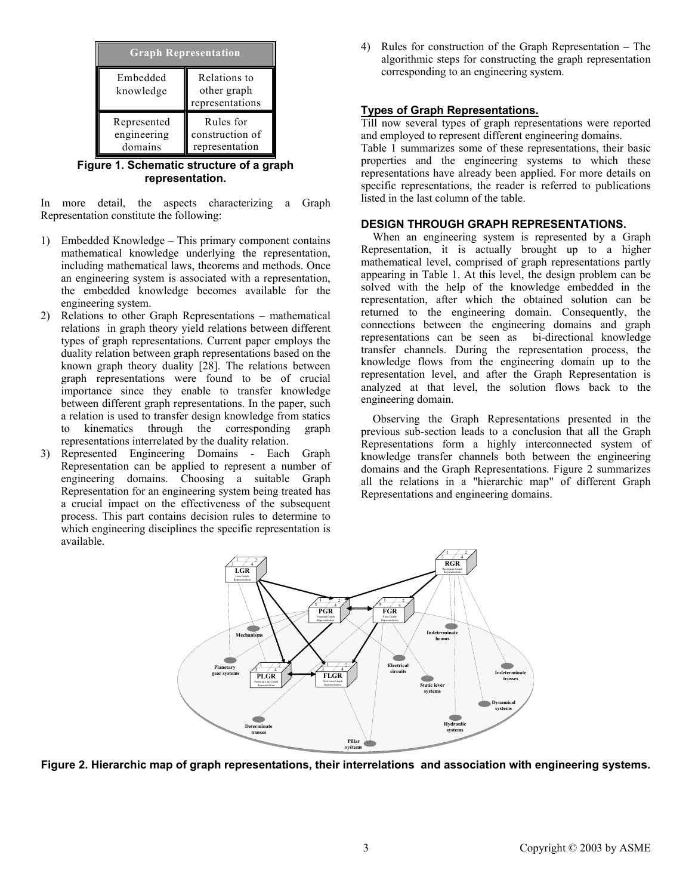| <b>Graph Representation</b>           |                                                |  |  |  |
|---------------------------------------|------------------------------------------------|--|--|--|
| Embedded<br>knowledge                 | Relations to<br>other graph<br>representations |  |  |  |
| Represented<br>engineering<br>domains | Rules for<br>construction of<br>representation |  |  |  |

**Figure 1. Schematic structure of a graph representation.** 

In more detail, the aspects characterizing a Graph Representation constitute the following:

- 1) Embedded Knowledge This primary component contains mathematical knowledge underlying the representation, including mathematical laws, theorems and methods. Once an engineering system is associated with a representation, the embedded knowledge becomes available for the engineering system.
- 2) Relations to other Graph Representations mathematical relations in graph theory yield relations between different types of graph representations. Current paper employs the duality relation between graph representations based on the known graph theory duality [28]. The relations between graph representations were found to be of crucial importance since they enable to transfer knowledge between different graph representations. In the paper, such a relation is used to transfer design knowledge from statics to kinematics through the corresponding graph representations interrelated by the duality relation.
- 3) Represented Engineering Domains Each Graph Representation can be applied to represent a number of engineering domains. Choosing a suitable Graph Representation for an engineering system being treated has a crucial impact on the effectiveness of the subsequent process. This part contains decision rules to determine to which engineering disciplines the specific representation is available.

4) Rules for construction of the Graph Representation – The algorithmic steps for constructing the graph representation corresponding to an engineering system.

## **Types of Graph Representations.**

Till now several types of graph representations were reported and employed to represent different engineering domains.

Table 1 summarizes some of these representations, their basic properties and the engineering systems to which these representations have already been applied. For more details on specific representations, the reader is referred to publications listed in the last column of the table.

#### **DESIGN THROUGH GRAPH REPRESENTATIONS.**

When an engineering system is represented by a Graph Representation, it is actually brought up to a higher mathematical level, comprised of graph representations partly appearing in Table 1. At this level, the design problem can be solved with the help of the knowledge embedded in the representation, after which the obtained solution can be returned to the engineering domain. Consequently, the connections between the engineering domains and graph representations can be seen as bi-directional knowledge transfer channels. During the representation process, the knowledge flows from the engineering domain up to the representation level, and after the Graph Representation is analyzed at that level, the solution flows back to the engineering domain.

Observing the Graph Representations presented in the previous sub-section leads to a conclusion that all the Graph Representations form a highly interconnected system of knowledge transfer channels both between the engineering domains and the Graph Representations. Figure 2 summarizes all the relations in a "hierarchic map" of different Graph Representations and engineering domains.



**Figure 2. Hierarchic map of graph representations, their interrelations and association with engineering systems.**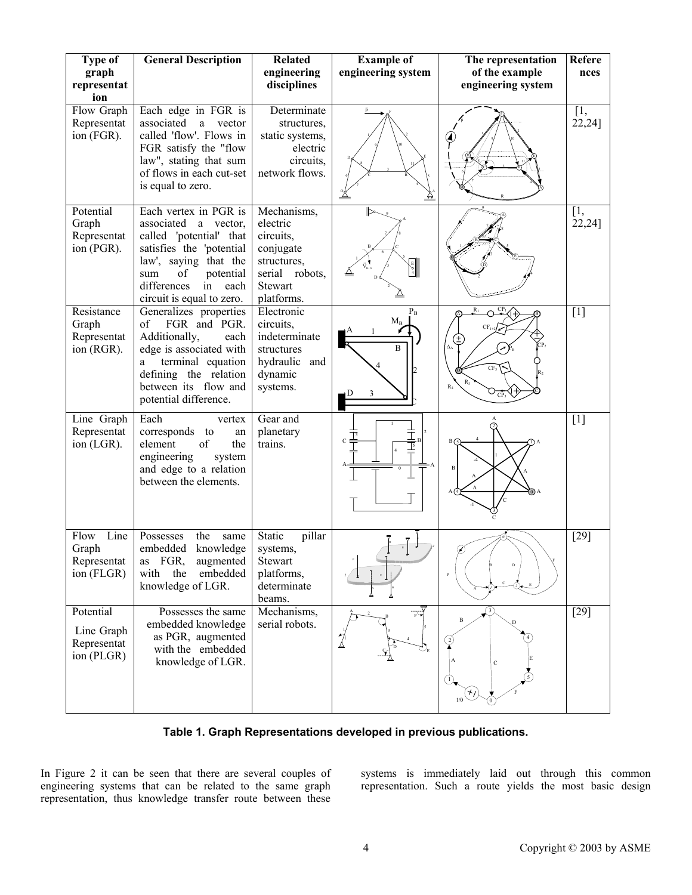| <b>Type of</b><br>graph<br>representat<br>ion        | <b>General Description</b>                                                                                                                                                                                        | <b>Related</b><br>engineering<br>disciplines                                                                | <b>Example of</b><br>engineering system      | The representation<br>of the example<br>engineering system  | Refere<br>nces  |
|------------------------------------------------------|-------------------------------------------------------------------------------------------------------------------------------------------------------------------------------------------------------------------|-------------------------------------------------------------------------------------------------------------|----------------------------------------------|-------------------------------------------------------------|-----------------|
| Flow Graph<br>Representat<br>ion (FGR).              | Each edge in FGR is<br>associated<br>$\rm{a}$<br>vector<br>called 'flow'. Flows in<br>FGR satisfy the "flow<br>law", stating that sum<br>of flows in each cut-set<br>is equal to zero.                            | Determinate<br>structures,<br>static systems,<br>electric<br>circuits.<br>network flows.                    |                                              |                                                             | [1,<br>22,24]   |
| Potential<br>Graph<br>Representat<br>ion (PGR).      | Each vertex in PGR is<br>associated a vector,<br>called 'potential' that<br>satisfies the 'potential<br>law', saying that the<br>of<br>potential<br>sum<br>differences<br>in<br>each<br>circuit is equal to zero. | Mechanisms,<br>electric<br>circuits,<br>conjugate<br>structures,<br>serial robots,<br>Stewart<br>platforms. | $\frac{E}{4}$                                |                                                             | [1,<br>[22, 24] |
| Resistance<br>Graph<br>Representat<br>ion (RGR).     | Generalizes properties<br>of<br>FGR and PGR.<br>Additionally,<br>each<br>edge is associated with<br>terminal equation<br>a<br>defining the relation<br>between its flow and<br>potential difference.              | Electronic<br>circuits,<br>indeterminate<br>structures<br>hydraulic and<br>dynamic<br>systems.              | $\mathbf{\bar{P}_B}$<br>$M_B$<br>B<br>3<br>Ð | $R_1$<br>CP.<br>CF <sub>1</sub><br>Δχ<br>CF3<br>$R_4$<br>CP | $[1]$           |
| Line Graph<br>Representat<br>ion (LGR).              | Each<br>vertex<br>corresponds to<br>an<br>element<br>of<br>the<br>engineering<br>system<br>and edge to a relation<br>between the elements.                                                                        | Gear and<br>planetary<br>trains.                                                                            | C<br>$\frac{1}{5}$                           |                                                             | $[1]$           |
| Line<br>Flow<br>Graph<br>Representat<br>ion (FLGR)   | Possesses<br>the<br>same<br>embedded<br>knowledge<br>FGR,<br>augmented<br>as<br>embedded<br>the<br>with<br>knowledge of LGR.                                                                                      | Static<br>pillar<br>systems,<br><b>Stewart</b><br>platforms,<br>determinate<br>beams.                       |                                              | $\overline{P}$                                              | $[29]$          |
| Potential<br>Line Graph<br>Representat<br>ion (PLGR) | Possesses the same<br>embedded knowledge<br>as PGR, augmented<br>with the embedded<br>knowledge of LGR.                                                                                                           | Mechanisms,<br>serial robots.                                                                               | ᠘                                            | $\, {\bf B}$<br>$\mathbf C$<br>$1/0$                        | $[29]$          |

**Table 1. Graph Representations developed in previous publications.** 

In Figure 2 it can be seen that there are several couples of engineering systems that can be related to the same graph representation, thus knowledge transfer route between these systems is immediately laid out through this common representation. Such a route yields the most basic design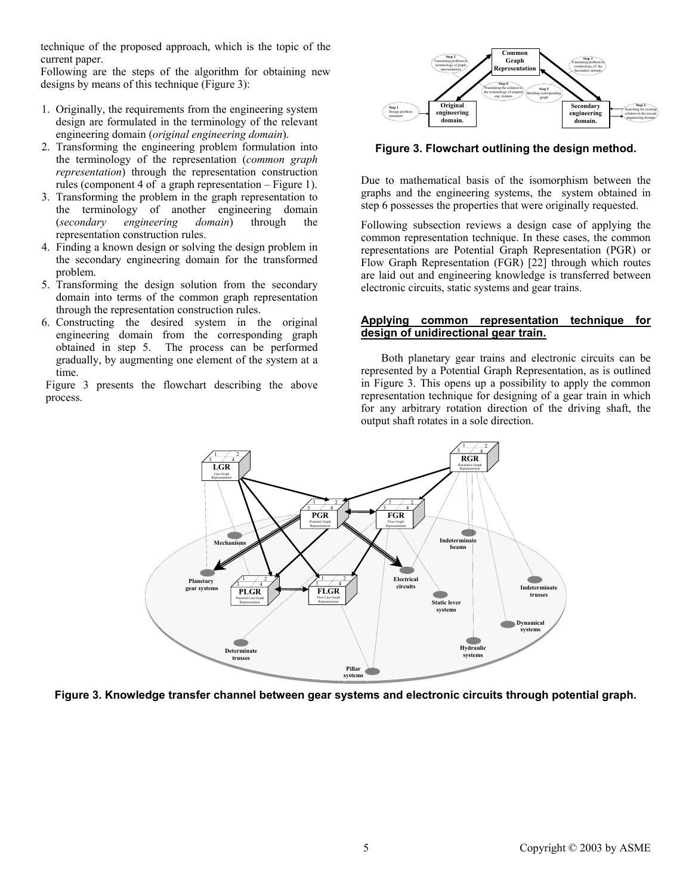technique of the proposed approach, which is the topic of the current paper.

Following are the steps of the algorithm for obtaining new designs by means of this technique (Figure 3):

- 1. Originally, the requirements from the engineering system design are formulated in the terminology of the relevant engineering domain (*original engineering domain*).
- 2. Transforming the engineering problem formulation into the terminology of the representation (*common graph representation*) through the representation construction rules (component 4 of a graph representation – Figure 1).
- 3. Transforming the problem in the graph representation to the terminology of another engineering domain (*secondary engineering domain*) through the representation construction rules.
- 4. Finding a known design or solving the design problem in the secondary engineering domain for the transformed problem.
- 5. Transforming the design solution from the secondary domain into terms of the common graph representation through the representation construction rules.
- 6. Constructing the desired system in the original engineering domain from the corresponding graph obtained in step 5. The process can be performed gradually, by augmenting one element of the system at a time.

Figure 3 presents the flowchart describing the above process.



**Figure 3. Flowchart outlining the design method.** 

Due to mathematical basis of the isomorphism between the graphs and the engineering systems, the system obtained in step 6 possesses the properties that were originally requested.

Following subsection reviews a design case of applying the common representation technique. In these cases, the common representations are Potential Graph Representation (PGR) or Flow Graph Representation (FGR) [22] through which routes are laid out and engineering knowledge is transferred between electronic circuits, static systems and gear trains.

## **Applying common representation technique for design of unidirectional gear train.**

Both planetary gear trains and electronic circuits can be represented by a Potential Graph Representation, as is outlined in Figure 3. This opens up a possibility to apply the common representation technique for designing of a gear train in which for any arbitrary rotation direction of the driving shaft, the output shaft rotates in a sole direction.



**Figure 3. Knowledge transfer channel between gear systems and electronic circuits through potential graph.**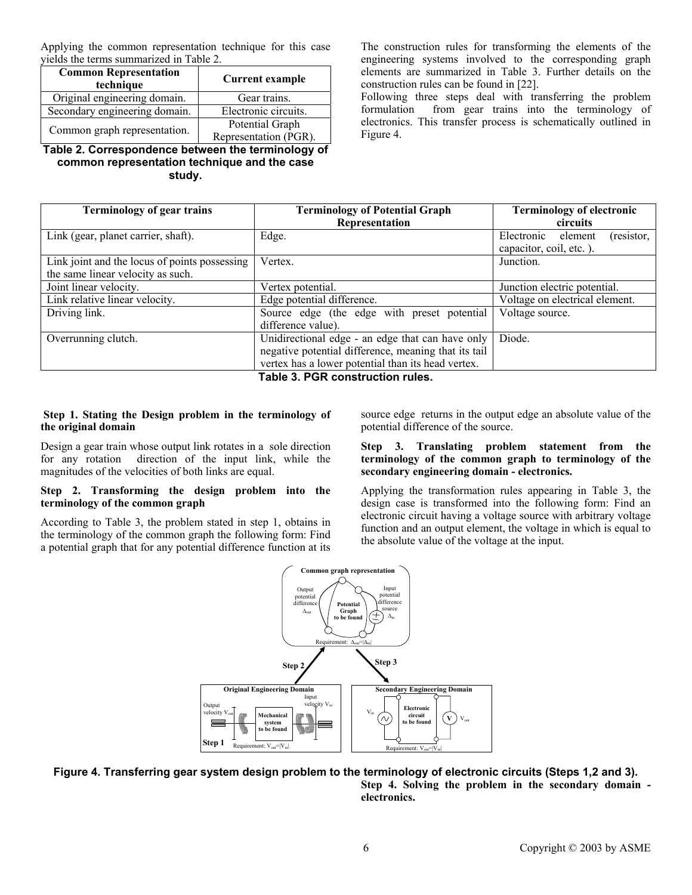Applying the common representation technique for this case yields the terms summarized in Table 2.

| <b>Common Representation</b><br>technique | <b>Current example</b> |  |
|-------------------------------------------|------------------------|--|
| Original engineering domain.              | Gear trains.           |  |
| Secondary engineering domain.             | Electronic circuits.   |  |
| Common graph representation.              | Potential Graph        |  |
|                                           | Representation (PGR).  |  |

**Table 2. Correspondence between the terminology of common representation technique and the case study.** 

The construction rules for transforming the elements of the engineering systems involved to the corresponding graph elements are summarized in Table 3. Further details on the construction rules can be found in [22].

Following three steps deal with transferring the problem formulation from gear trains into the terminology of electronics. This transfer process is schematically outlined in Figure 4.

| <b>Terminology of gear trains</b>                                                  | <b>Terminology of Potential Graph</b><br>Representation                                                                                                        | <b>Terminology of electronic</b><br>circuits                   |
|------------------------------------------------------------------------------------|----------------------------------------------------------------------------------------------------------------------------------------------------------------|----------------------------------------------------------------|
| Link (gear, planet carrier, shaft).                                                | Edge.                                                                                                                                                          | Electronic<br>element<br>(resistor,<br>capacitor, coil, etc.). |
| Link joint and the locus of points possessing<br>the same linear velocity as such. | Vertex.                                                                                                                                                        | Junction.                                                      |
| Joint linear velocity.                                                             | Vertex potential.                                                                                                                                              | Junction electric potential.                                   |
| Link relative linear velocity.                                                     | Edge potential difference.                                                                                                                                     | Voltage on electrical element.                                 |
| Driving link.                                                                      | Source edge (the edge with preset potential<br>difference value).                                                                                              | Voltage source.                                                |
| Overrunning clutch.                                                                | Unidirectional edge - an edge that can have only<br>negative potential difference, meaning that its tail<br>vertex has a lower potential than its head vertex. | Diode.                                                         |

**Table 3. PGR construction rules.** 

#### **Step 1. Stating the Design problem in the terminology of the original domain**

Design a gear train whose output link rotates in a sole direction for any rotation direction of the input link, while the magnitudes of the velocities of both links are equal.

## **Step 2. Transforming the design problem into the terminology of the common graph**

According to Table 3, the problem stated in step 1, obtains in the terminology of the common graph the following form: Find a potential graph that for any potential difference function at its

source edge returns in the output edge an absolute value of the potential difference of the source.

## **Step 3. Translating problem statement from the terminology of the common graph to terminology of the secondary engineering domain - electronics.**

Applying the transformation rules appearing in Table 3, the design case is transformed into the following form: Find an electronic circuit having a voltage source with arbitrary voltage function and an output element, the voltage in which is equal to the absolute value of the voltage at the input.





**Step 4. Solving the problem in the secondary domain electronics.**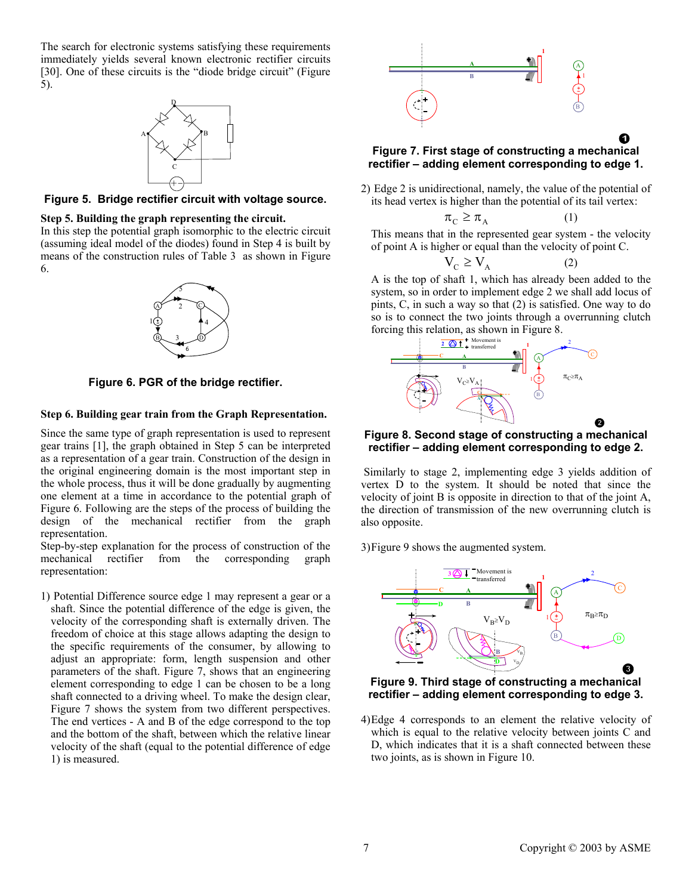The search for electronic systems satisfying these requirements immediately yields several known electronic rectifier circuits [30]. One of these circuits is the "diode bridge circuit" (Figure 5).



**Figure 5. Bridge rectifier circuit with voltage source.** 

## **Step 5. Building the graph representing the circuit.**

In this step the potential graph isomorphic to the electric circuit (assuming ideal model of the diodes) found in Step 4 is built by means of the construction rules of Table 3 as shown in Figure 6.



**Figure 6. PGR of the bridge rectifier.** 

#### **Step 6. Building gear train from the Graph Representation.**

Since the same type of graph representation is used to represent gear trains [1], the graph obtained in Step 5 can be interpreted as a representation of a gear train. Construction of the design in the original engineering domain is the most important step in the whole process, thus it will be done gradually by augmenting one element at a time in accordance to the potential graph of Figure 6. Following are the steps of the process of building the design of the mechanical rectifier from the graph representation.

Step-by-step explanation for the process of construction of the mechanical rectifier from the corresponding graph representation:

1) Potential Difference source edge 1 may represent a gear or a shaft. Since the potential difference of the edge is given, the velocity of the corresponding shaft is externally driven. The freedom of choice at this stage allows adapting the design to the specific requirements of the consumer, by allowing to adjust an appropriate: form, length suspension and other parameters of the shaft. Figure 7, shows that an engineering element corresponding to edge 1 can be chosen to be a long shaft connected to a driving wheel. To make the design clear, Figure 7 shows the system from two different perspectives. The end vertices - A and B of the edge correspond to the top and the bottom of the shaft, between which the relative linear velocity of the shaft (equal to the potential difference of edge 1) is measured.



## **Figure 7. First stage of constructing a mechanical rectifier – adding element corresponding to edge 1.**

2) Edge 2 is unidirectional, namely, the value of the potential of its head vertex is higher than the potential of its tail vertex:

$$
\pi_{\mathcal{C}} \ge \pi_{\mathcal{A}} \tag{1}
$$

This means that in the represented gear system - the velocity of point A is higher or equal than the velocity of point C.

$$
V_C \ge V_A \tag{2}
$$

A is the top of shaft 1, which has already been added to the system, so in order to implement edge 2 we shall add locus of pints, C, in such a way so that (2) is satisfied. One way to do so is to connect the two joints through a overrunning clutch forcing this relation, as shown in Figure 8.



#### **Figure 8. Second stage of constructing a mechanical rectifier – adding element corresponding to edge 2.**

 Similarly to stage 2, implementing edge 3 yields addition of vertex D to the system. It should be noted that since the velocity of joint B is opposite in direction to that of the joint A, the direction of transmission of the new overrunning clutch is also opposite.

3)Figure 9 shows the augmented system.



**Figure 9. Third stage of constructing a mechanical rectifier – adding element corresponding to edge 3.** 

4)Edge 4 corresponds to an element the relative velocity of which is equal to the relative velocity between joints C and D, which indicates that it is a shaft connected between these two joints, as is shown in Figure 10.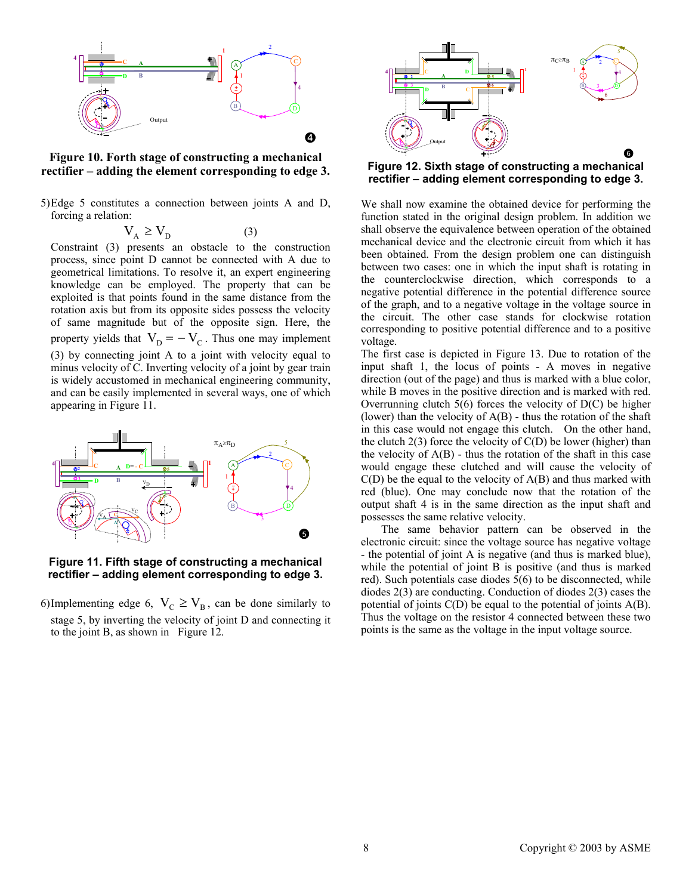

**Figure 10. Forth stage of constructing a mechanical rectifier – adding the element corresponding to edge 3.** 

5)Edge 5 constitutes a connection between joints A and D, forcing a relation:

$$
V_{A} \ge V_{D} \tag{3}
$$

Constraint (3) presents an obstacle to the construction process, since point D cannot be connected with A due to geometrical limitations. To resolve it, an expert engineering knowledge can be employed. The property that can be exploited is that points found in the same distance from the rotation axis but from its opposite sides possess the velocity of same magnitude but of the opposite sign. Here, the property yields that  $V_D = -V_C$ . Thus one may implement (3) by connecting joint A to a joint with velocity equal to minus velocity of C. Inverting velocity of a joint by gear train is widely accustomed in mechanical engineering community, and can be easily implemented in several ways, one of which appearing in Figure 11.



**Figure 11. Fifth stage of constructing a mechanical rectifier – adding element corresponding to edge 3.** 

6)Implementing edge 6,  $V_C \geq V_B$ , can be done similarly to stage 5, by inverting the velocity of joint D and connecting it to the joint B, as shown in Figure 12.



**Figure 12. Sixth stage of constructing a mechanical rectifier – adding element corresponding to edge 3.** 

We shall now examine the obtained device for performing the function stated in the original design problem. In addition we shall observe the equivalence between operation of the obtained mechanical device and the electronic circuit from which it has been obtained. From the design problem one can distinguish between two cases: one in which the input shaft is rotating in the counterclockwise direction, which corresponds to a negative potential difference in the potential difference source of the graph, and to a negative voltage in the voltage source in the circuit. The other case stands for clockwise rotation corresponding to positive potential difference and to a positive voltage.

The first case is depicted in Figure 13. Due to rotation of the input shaft 1, the locus of points - A moves in negative direction (out of the page) and thus is marked with a blue color, while B moves in the positive direction and is marked with red. Overrunning clutch  $5(6)$  forces the velocity of  $D(C)$  be higher (lower) than the velocity of  $A(B)$  - thus the rotation of the shaft in this case would not engage this clutch. On the other hand, the clutch  $2(3)$  force the velocity of  $C(D)$  be lower (higher) than the velocity of  $A(B)$  - thus the rotation of the shaft in this case would engage these clutched and will cause the velocity of  $C(D)$  be the equal to the velocity of  $A(B)$  and thus marked with red (blue). One may conclude now that the rotation of the output shaft 4 is in the same direction as the input shaft and possesses the same relative velocity.

The same behavior pattern can be observed in the electronic circuit: since the voltage source has negative voltage - the potential of joint A is negative (and thus is marked blue), while the potential of joint B is positive (and thus is marked red). Such potentials case diodes 5(6) to be disconnected, while diodes 2(3) are conducting. Conduction of diodes 2(3) cases the potential of joints C(D) be equal to the potential of joints A(B). Thus the voltage on the resistor 4 connected between these two points is the same as the voltage in the input voltage source.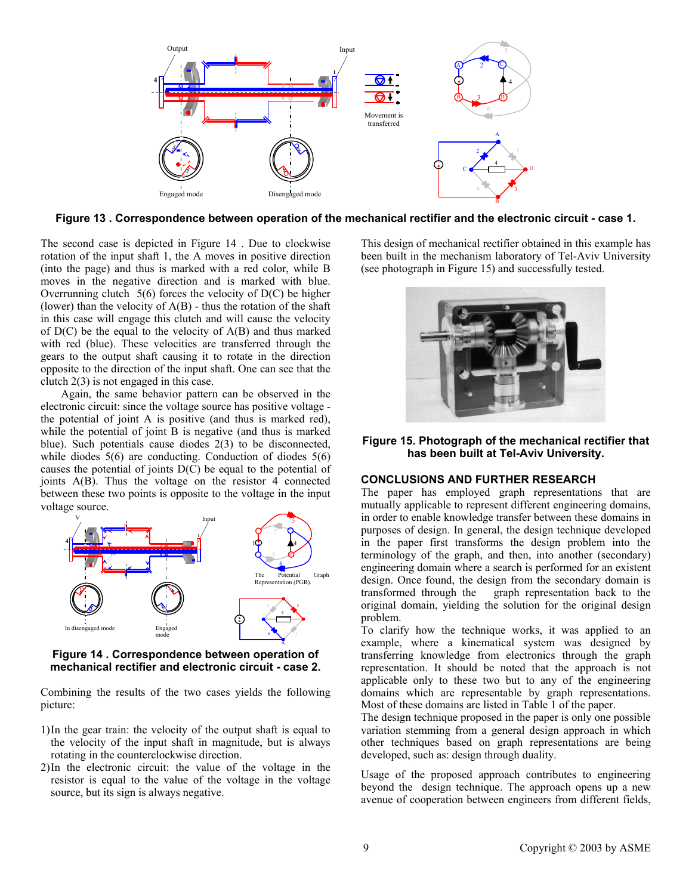

**Figure 13 . Correspondence between operation of the mechanical rectifier and the electronic circuit - case 1.** 

The second case is depicted in Figure 14 . Due to clockwise rotation of the input shaft 1, the A moves in positive direction (into the page) and thus is marked with a red color, while B moves in the negative direction and is marked with blue. Overrunning clutch  $5(6)$  forces the velocity of  $D(C)$  be higher (lower) than the velocity of  $A(B)$  - thus the rotation of the shaft in this case will engage this clutch and will cause the velocity of  $D(C)$  be the equal to the velocity of  $A(B)$  and thus marked with red (blue). These velocities are transferred through the gears to the output shaft causing it to rotate in the direction opposite to the direction of the input shaft. One can see that the clutch 2(3) is not engaged in this case.

Again, the same behavior pattern can be observed in the electronic circuit: since the voltage source has positive voltage the potential of joint A is positive (and thus is marked red), while the potential of joint B is negative (and thus is marked blue). Such potentials cause diodes 2(3) to be disconnected, while diodes 5(6) are conducting. Conduction of diodes 5(6) causes the potential of joints D(C) be equal to the potential of joints A(B). Thus the voltage on the resistor 4 connected between these two points is opposite to the voltage in the input voltage source.



**Figure 14 . Correspondence between operation of mechanical rectifier and electronic circuit - case 2.** 

Combining the results of the two cases yields the following picture:

- 1)In the gear train: the velocity of the output shaft is equal to the velocity of the input shaft in magnitude, but is always rotating in the counterclockwise direction.
- 2)In the electronic circuit: the value of the voltage in the resistor is equal to the value of the voltage in the voltage source, but its sign is always negative.

This design of mechanical rectifier obtained in this example has been built in the mechanism laboratory of Tel-Aviv University (see photograph in Figure 15) and successfully tested.



**Figure 15. Photograph of the mechanical rectifier that has been built at Tel-Aviv University.** 

## **CONCLUSIONS AND FURTHER RESEARCH**

The paper has employed graph representations that are mutually applicable to represent different engineering domains, in order to enable knowledge transfer between these domains in purposes of design. In general, the design technique developed in the paper first transforms the design problem into the terminology of the graph, and then, into another (secondary) engineering domain where a search is performed for an existent design. Once found, the design from the secondary domain is transformed through the graph representation back to the graph representation back to the original domain, yielding the solution for the original design problem.

To clarify how the technique works, it was applied to an example, where a kinematical system was designed by transferring knowledge from electronics through the graph representation. It should be noted that the approach is not applicable only to these two but to any of the engineering domains which are representable by graph representations. Most of these domains are listed in Table 1 of the paper.

The design technique proposed in the paper is only one possible variation stemming from a general design approach in which other techniques based on graph representations are being developed, such as: design through duality.

Usage of the proposed approach contributes to engineering beyond the design technique. The approach opens up a new avenue of cooperation between engineers from different fields,